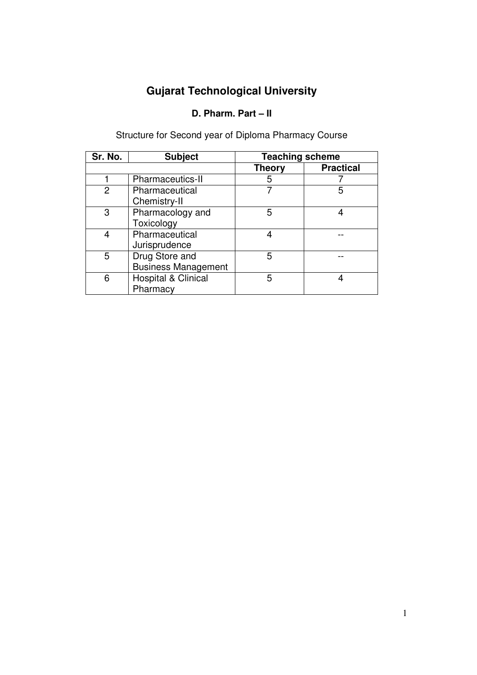# **Gujarat Technological University**

## **D. Pharm. Part – II**

| Sr. No. | <b>Subject</b>                               | <b>Teaching scheme</b> |                  |
|---------|----------------------------------------------|------------------------|------------------|
|         |                                              | <b>Theory</b>          | <b>Practical</b> |
|         | Pharmaceutics-II                             | 5                      |                  |
| 2       | Pharmaceutical<br>Chemistry-II               |                        | 5                |
| 3       | Pharmacology and<br>Toxicology               | 5                      |                  |
| 4       | Pharmaceutical<br>Jurisprudence              |                        |                  |
| 5       | Drug Store and<br><b>Business Management</b> | 5                      |                  |
| 6       | Hospital & Clinical<br>Pharmacy              | 5                      |                  |

Structure for Second year of Diploma Pharmacy Course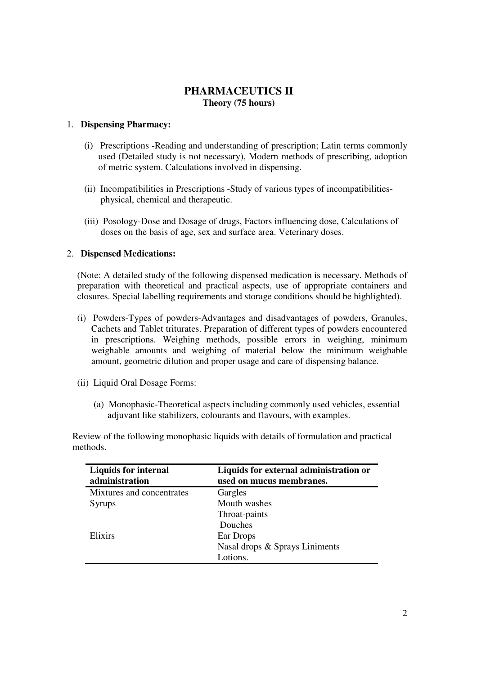## **PHARMACEUTICS II Theory (75 hours)**

## 1. **Dispensing Pharmacy:**

- (i) Prescriptions -Reading and understanding of prescription; Latin terms commonly used (Detailed study is not necessary), Modern methods of prescribing, adoption of metric system. Calculations involved in dispensing.
- (ii) Incompatibilities in Prescriptions -Study of various types of incompatibilities physical, chemical and therapeutic.
- (iii) Posology-Dose and Dosage of drugs, Factors influencing dose, Calculations of doses on the basis of age, sex and surface area. Veterinary doses.

#### 2. **Dispensed Medications:**

(Note: A detailed study of the following dispensed medication is necessary. Methods of preparation with theoretical and practical aspects, use of appropriate containers and closures. Special labelling requirements and storage conditions should be highlighted).

- (i) Powders-Types of powders-Advantages and disadvantages of powders, Granules, Cachets and Tablet triturates. Preparation of different types of powders encountered in prescriptions. Weighing methods, possible errors in weighing, minimum weighable amounts and weighing of material below the minimum weighable amount, geometric dilution and proper usage and care of dispensing balance.
- (ii) Liquid Oral Dosage Forms:
	- (a) Monophasic-Theoretical aspects including commonly used vehicles, essential adjuvant like stabilizers, colourants and flavours, with examples.

 Review of the following monophasic liquids with details of formulation and practical methods.

| <b>Liquids for internal</b><br>administration | Liquids for external administration or<br>used on mucus membranes. |  |
|-----------------------------------------------|--------------------------------------------------------------------|--|
| Mixtures and concentrates                     | Gargles                                                            |  |
| <b>Syrups</b>                                 | Mouth washes                                                       |  |
|                                               | Throat-paints                                                      |  |
|                                               | Douches                                                            |  |
| Elixirs                                       | Ear Drops                                                          |  |
|                                               | Nasal drops & Sprays Liniments                                     |  |
|                                               | Lotions.                                                           |  |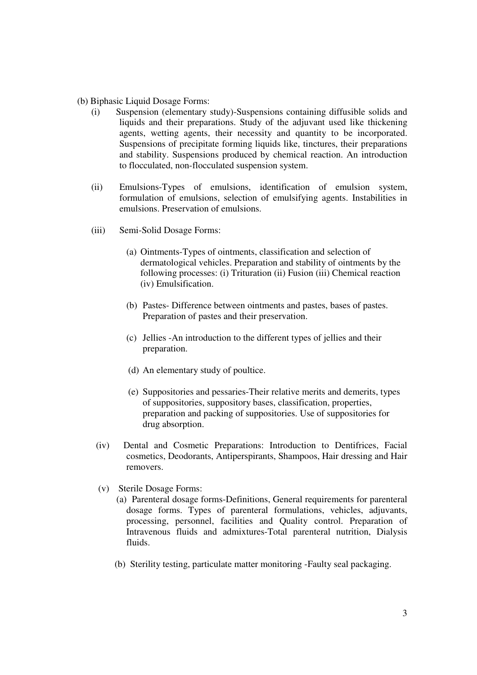- (b) Biphasic Liquid Dosage Forms:
	- (i) Suspension (elementary study)-Suspensions containing diffusible solids and liquids and their preparations. Study of the adjuvant used like thickening agents, wetting agents, their necessity and quantity to be incorporated. Suspensions of precipitate forming liquids like, tinctures, their preparations and stability. Suspensions produced by chemical reaction. An introduction to flocculated, non-flocculated suspension system.
	- (ii) Emulsions-Types of emulsions, identification of emulsion system, formulation of emulsions, selection of emulsifying agents. Instabilities in emulsions. Preservation of emulsions.
	- (iii) Semi-Solid Dosage Forms:
		- (a) Ointments-Types of ointments, classification and selection of dermatological vehicles. Preparation and stability of ointments by the following processes: (i) Trituration (ii) Fusion (iii) Chemical reaction (iv) Emulsification.
		- (b) Pastes- Difference between ointments and pastes, bases of pastes. Preparation of pastes and their preservation.
		- (c) Jellies -An introduction to the different types of jellies and their preparation.
		- (d) An elementary study of poultice.
		- (e) Suppositories and pessaries-Their relative merits and demerits, types of suppositories, suppository bases, classification, properties, preparation and packing of suppositories. Use of suppositories for drug absorption.
		- (iv) Dental and Cosmetic Preparations: Introduction to Dentifrices, Facial cosmetics, Deodorants, Antiperspirants, Shampoos, Hair dressing and Hair removers.
		- (v) Sterile Dosage Forms:
			- (a) Parenteral dosage forms-Definitions, General requirements for parenteral dosage forms. Types of parenteral formulations, vehicles, adjuvants, processing, personnel, facilities and Quality control. Preparation of Intravenous fluids and admixtures-Total parenteral nutrition, Dialysis fluids.
			- (b) Sterility testing, particulate matter monitoring -Faulty seal packaging.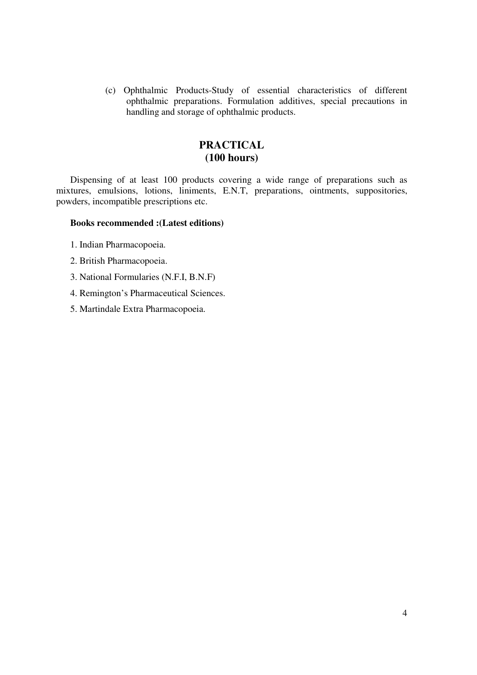(c) Ophthalmic Products-Study of essential characteristics of different ophthalmic preparations. Formulation additives, special precautions in handling and storage of ophthalmic products.

## **PRACTICAL (100 hours)**

Dispensing of at least 100 products covering a wide range of preparations such as mixtures, emulsions, lotions, liniments, E.N.T, preparations, ointments, suppositories, powders, incompatible prescriptions etc.

#### **Books recommended :(Latest editions)**

- 1. Indian Pharmacopoeia.
- 2. British Pharmacopoeia.
- 3. National Formularies (N.F.I, B.N.F)
- 4. Remington's Pharmaceutical Sciences.
- 5. Martindale Extra Pharmacopoeia.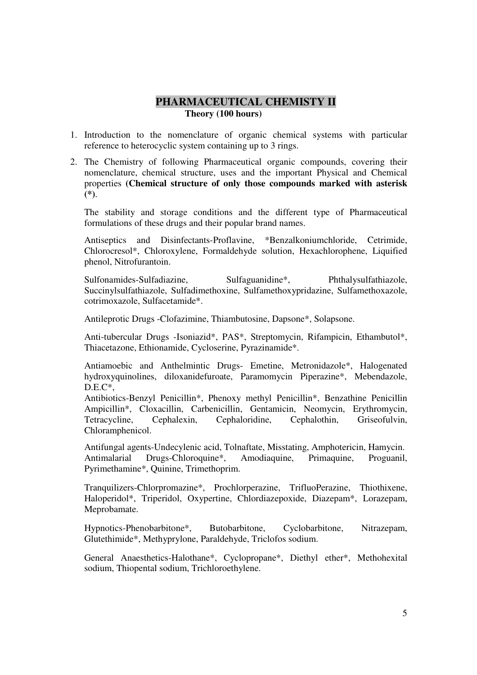## **PHARMACEUTICAL CHEMISTY II Theory (100 hours)**

- 1. Introduction to the nomenclature of organic chemical systems with particular reference to heterocyclic system containing up to 3 rings.
- 2. The Chemistry of following Pharmaceutical organic compounds, covering their nomenclature, chemical structure, uses and the important Physical and Chemical properties **(Chemical structure of only those compounds marked with asterisk (\*)**.

The stability and storage conditions and the different type of Pharmaceutical formulations of these drugs and their popular brand names.

Antiseptics and Disinfectants-Proflavine, \*Benzalkoniumchloride, Cetrimide, Chlorocresol\*, Chloroxylene, Formaldehyde solution, Hexachlorophene, Liquified phenol, Nitrofurantoin.

Sulfonamides-Sulfadiazine, Sulfaguanidine\*, Phthalysulfathiazole, Succinylsulfathiazole, Sulfadimethoxine, Sulfamethoxypridazine, Sulfamethoxazole, cotrimoxazole, Sulfacetamide\*.

Antileprotic Drugs -Clofazimine, Thiambutosine, Dapsone\*, Solapsone.

Anti-tubercular Drugs -Isoniazid\*, PAS\*, Streptomycin, Rifampicin, Ethambutol\*, Thiacetazone, Ethionamide, Cycloserine, Pyrazinamide\*.

Antiamoebic and Anthelmintic Drugs- Emetine, Metronidazole\*, Halogenated hydroxyquinolines, diloxanidefuroate, Paramomycin Piperazine\*, Mebendazole,  $D.E.C^*$ .

Antibiotics-Benzyl Penicillin\*, Phenoxy methyl Penicillin\*, Benzathine Penicillin Ampicillin\*, Cloxacillin, Carbenicillin, Gentamicin, Neomycin, Erythromycin, Tetracycline, Cephalexin, Cephaloridine, Cephalothin, Griseofulvin, Chloramphenicol.

Antifungal agents-Undecylenic acid, Tolnaftate, Misstating, Amphotericin, Hamycin. Antimalarial Drugs-Chloroquine\*, Amodiaquine, Primaquine, Proguanil, Pyrimethamine\*, Quinine, Trimethoprim.

Tranquilizers-Chlorpromazine\*, Prochlorperazine, TrifluoPerazine, Thiothixene, Haloperidol\*, Triperidol, Oxypertine, Chlordiazepoxide, Diazepam\*, Lorazepam, Meprobamate.

Hypnotics-Phenobarbitone\*, Butobarbitone, Cyclobarbitone, Nitrazepam, Glutethimide\*, Methyprylone, Paraldehyde, Triclofos sodium.

General Anaesthetics-Halothane\*, Cyclopropane\*, Diethyl ether\*, Methohexital sodium, Thiopental sodium, Trichloroethylene.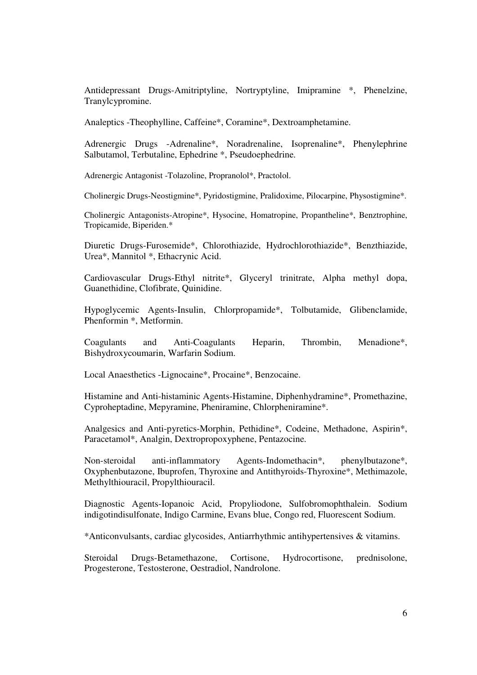Antidepressant Drugs-Amitriptyline, Nortryptyline, Imipramine \*, Phenelzine, Tranylcypromine.

Analeptics -Theophylline, Caffeine\*, Coramine\*, Dextroamphetamine.

Adrenergic Drugs -Adrenaline\*, Noradrenaline, Isoprenaline\*, Phenylephrine Salbutamol, Terbutaline, Ephedrine \*, Pseudoephedrine.

Adrenergic Antagonist -Tolazoline, Propranolol\*, Practolol.

Cholinergic Drugs-Neostigmine\*, Pyridostigmine, Pralidoxime, Pilocarpine, Physostigmine\*.

Cholinergic Antagonists-Atropine\*, Hysocine, Homatropine, Propantheline\*, Benztrophine, Tropicamide, Biperiden.\*

Diuretic Drugs-Furosemide\*, Chlorothiazide, Hydrochlorothiazide\*, Benzthiazide, Urea\*, Mannitol \*, Ethacrynic Acid.

Cardiovascular Drugs-Ethyl nitrite\*, Glyceryl trinitrate, Alpha methyl dopa, Guanethidine, Clofibrate, Quinidine.

Hypoglycemic Agents-Insulin, Chlorpropamide\*, Tolbutamide, Glibenclamide, Phenformin \*, Metformin.

Coagulants and Anti-Coagulants Heparin, Thrombin, Menadione\*, Bishydroxycoumarin, Warfarin Sodium.

Local Anaesthetics -Lignocaine\*, Procaine\*, Benzocaine.

Histamine and Anti-histaminic Agents-Histamine, Diphenhydramine\*, Promethazine, Cyproheptadine, Mepyramine, Pheniramine, Chlorpheniramine\*.

Analgesics and Anti-pyretics-Morphin, Pethidine\*, Codeine, Methadone, Aspirin\*, Paracetamol\*, Analgin, Dextropropoxyphene, Pentazocine.

Non-steroidal anti-inflammatory Agents-Indomethacin\*, phenylbutazone\*, Oxyphenbutazone, Ibuprofen, Thyroxine and Antithyroids-Thyroxine\*, Methimazole, Methylthiouracil, Propylthiouracil.

Diagnostic Agents-Iopanoic Acid, Propyliodone, Sulfobromophthalein. Sodium indigotindisulfonate, Indigo Carmine, Evans blue, Congo red, Fluorescent Sodium.

\*Anticonvulsants, cardiac glycosides, Antiarrhythmic antihypertensives & vitamins.

Steroidal Drugs-Betamethazone, Cortisone, Hydrocortisone, prednisolone, Progesterone, Testosterone, Oestradiol, Nandrolone.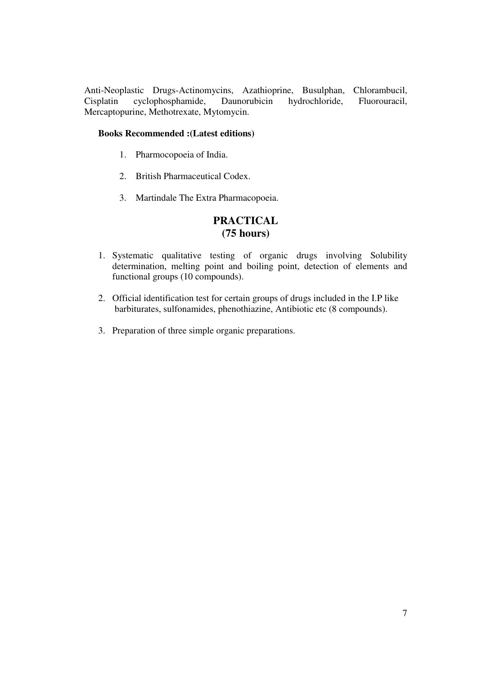Anti-Neoplastic Drugs-Actinomycins, Azathioprine, Busulphan, Chlorambucil, Cisplatin cyclophosphamide, Daunorubicin hydrochloride, Fluorouracil, Mercaptopurine, Methotrexate, Mytomycin.

## **Books Recommended :(Latest editions)**

- 1. Pharmocopoeia of India.
- 2. British Pharmaceutical Codex.
- 3. Martindale The Extra Pharmacopoeia.

## **PRACTICAL (75 hours)**

- 1. Systematic qualitative testing of organic drugs involving Solubility determination, melting point and boiling point, detection of elements and functional groups (10 compounds).
- 2. Official identification test for certain groups of drugs included in the I.P like barbiturates, sulfonamides, phenothiazine, Antibiotic etc (8 compounds).
- 3. Preparation of three simple organic preparations.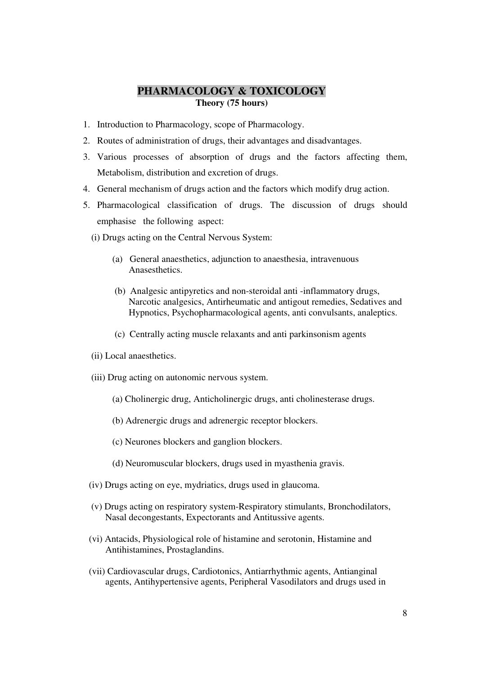## **PHARMACOLOGY & TOXICOLOGY Theory (75 hours)**

- 1. Introduction to Pharmacology, scope of Pharmacology.
- 2. Routes of administration of drugs, their advantages and disadvantages.
- 3. Various processes of absorption of drugs and the factors affecting them, Metabolism, distribution and excretion of drugs.
- 4. General mechanism of drugs action and the factors which modify drug action.
- 5. Pharmacological classification of drugs. The discussion of drugs should emphasise the following aspect:
	- (i) Drugs acting on the Central Nervous System:
		- (a) General anaesthetics, adjunction to anaesthesia, intravenuous Anasesthetics.
		- (b) Analgesic antipyretics and non-steroidal anti -inflammatory drugs, Narcotic analgesics, Antirheumatic and antigout remedies, Sedatives and Hypnotics, Psychopharmacological agents, anti convulsants, analeptics.
		- (c) Centrally acting muscle relaxants and anti parkinsonism agents
	- (ii) Local anaesthetics.
	- (iii) Drug acting on autonomic nervous system.
		- (a) Cholinergic drug, Anticholinergic drugs, anti cholinesterase drugs.
		- (b) Adrenergic drugs and adrenergic receptor blockers.
		- (c) Neurones blockers and ganglion blockers.
		- (d) Neuromuscular blockers, drugs used in myasthenia gravis.
	- (iv) Drugs acting on eye, mydriatics, drugs used in glaucoma.
	- (v) Drugs acting on respiratory system-Respiratory stimulants, Bronchodilators, Nasal decongestants, Expectorants and Antitussive agents.
	- (vi) Antacids, Physiological role of histamine and serotonin, Histamine and Antihistamines, Prostaglandins.
	- (vii) Cardiovascular drugs, Cardiotonics, Antiarrhythmic agents, Antianginal agents, Antihypertensive agents, Peripheral Vasodilators and drugs used in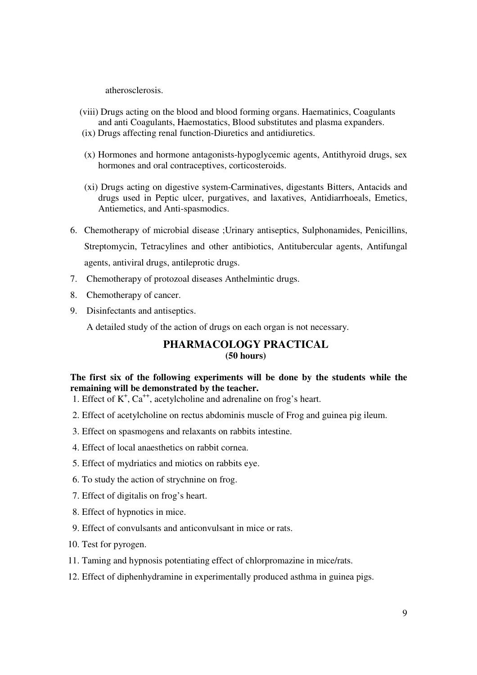atherosclerosis.

- (viii) Drugs acting on the blood and blood forming organs. Haematinics, Coagulants and anti Coagulants, Haemostatics, Blood substitutes and plasma expanders.
- (ix) Drugs affecting renal function-Diuretics and antidiuretics.
- (x) Hormones and hormone antagonists-hypoglycemic agents, Antithyroid drugs, sex hormones and oral contraceptives, corticosteroids.
- (xi) Drugs acting on digestive system-Carminatives, digestants Bitters, Antacids and drugs used in Peptic ulcer, purgatives, and laxatives, Antidiarrhoeals, Emetics, Antiemetics, and Anti-spasmodics.
- 6. Chemotherapy of microbial disease ;Urinary antiseptics, Sulphonamides, Penicillins, Streptomycin, Tetracylines and other antibiotics, Antitubercular agents, Antifungal agents, antiviral drugs, antileprotic drugs.
- 7. Chemotherapy of protozoal diseases Anthelmintic drugs.
- 8. Chemotherapy of cancer.
- 9. Disinfectants and antiseptics.

A detailed study of the action of drugs on each organ is not necessary.

## **PHARMACOLOGY PRACTICAL (50 hours)**

## **The first six of the following experiments will be done by the students while the remaining will be demonstrated by the teacher.**

- 1. Effect of  $K^+$ ,  $Ca^{++}$ , acetylcholine and adrenaline on frog's heart.
	- 2. Effect of acetylcholine on rectus abdominis muscle of Frog and guinea pig ileum.
	- 3. Effect on spasmogens and relaxants on rabbits intestine.
	- 4. Effect of local anaesthetics on rabbit cornea.
	- 5. Effect of mydriatics and miotics on rabbits eye.
	- 6. To study the action of strychnine on frog.
	- 7. Effect of digitalis on frog's heart.
	- 8. Effect of hypnotics in mice.
	- 9. Effect of convulsants and anticonvulsant in mice or rats.
	- 10. Test for pyrogen.
	- 11. Taming and hypnosis potentiating effect of chlorpromazine in mice/rats.
	- 12. Effect of diphenhydramine in experimentally produced asthma in guinea pigs.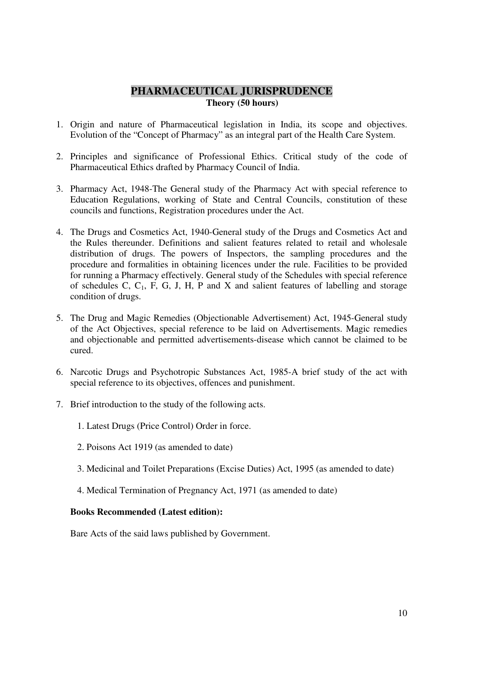## **PHARMACEUTICAL JURISPRUDENCE Theory (50 hours)**

- 1. Origin and nature of Pharmaceutical legislation in India, its scope and objectives. Evolution of the "Concept of Pharmacy" as an integral part of the Health Care System.
- 2. Principles and significance of Professional Ethics. Critical study of the code of Pharmaceutical Ethics drafted by Pharmacy Council of India.
- 3. Pharmacy Act, 1948-The General study of the Pharmacy Act with special reference to Education Regulations, working of State and Central Councils, constitution of these councils and functions, Registration procedures under the Act.
- 4. The Drugs and Cosmetics Act, 1940-General study of the Drugs and Cosmetics Act and the Rules thereunder. Definitions and salient features related to retail and wholesale distribution of drugs. The powers of Inspectors, the sampling procedures and the procedure and formalities in obtaining licences under the rule. Facilities to be provided for running a Pharmacy effectively. General study of the Schedules with special reference of schedules C,  $C_1$ , F, G, J, H, P and X and salient features of labelling and storage condition of drugs.
- 5. The Drug and Magic Remedies (Objectionable Advertisement) Act, 1945-General study of the Act Objectives, special reference to be laid on Advertisements. Magic remedies and objectionable and permitted advertisements-disease which cannot be claimed to be cured.
- 6. Narcotic Drugs and Psychotropic Substances Act, 1985-A brief study of the act with special reference to its objectives, offences and punishment.
- 7. Brief introduction to the study of the following acts.
	- 1. Latest Drugs (Price Control) Order in force.
	- 2. Poisons Act 1919 (as amended to date)
	- 3. Medicinal and Toilet Preparations (Excise Duties) Act, 1995 (as amended to date)
	- 4. Medical Termination of Pregnancy Act, 1971 (as amended to date)

#### **Books Recommended (Latest edition):**

Bare Acts of the said laws published by Government.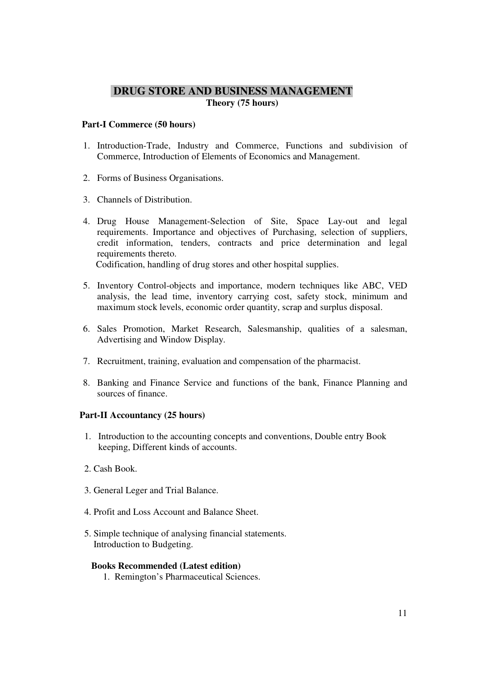## **DRUG STORE AND BUSINESS MANAGEMENT Theory (75 hours)**

#### **Part-I Commerce (50 hours)**

- 1. Introduction-Trade, Industry and Commerce, Functions and subdivision of Commerce, Introduction of Elements of Economics and Management.
- 2. Forms of Business Organisations.
- 3. Channels of Distribution.
- 4. Drug House Management-Selection of Site, Space Lay-out and legal requirements. Importance and objectives of Purchasing, selection of suppliers, credit information, tenders, contracts and price determination and legal requirements thereto. Codification, handling of drug stores and other hospital supplies.

5. Inventory Control-objects and importance, modern techniques like ABC, VED analysis, the lead time, inventory carrying cost, safety stock, minimum and maximum stock levels, economic order quantity, scrap and surplus disposal.

- 6. Sales Promotion, Market Research, Salesmanship, qualities of a salesman, Advertising and Window Display.
- 7. Recruitment, training, evaluation and compensation of the pharmacist.
- 8. Banking and Finance Service and functions of the bank, Finance Planning and sources of finance.

#### **Part-II Accountancy (25 hours)**

- 1. Introduction to the accounting concepts and conventions, Double entry Book keeping, Different kinds of accounts.
- 2. Cash Book.
- 3. General Leger and Trial Balance.
- 4. Profit and Loss Account and Balance Sheet.
- 5. Simple technique of analysing financial statements. Introduction to Budgeting.

### **Books Recommended (Latest edition)**

1. Remington's Pharmaceutical Sciences.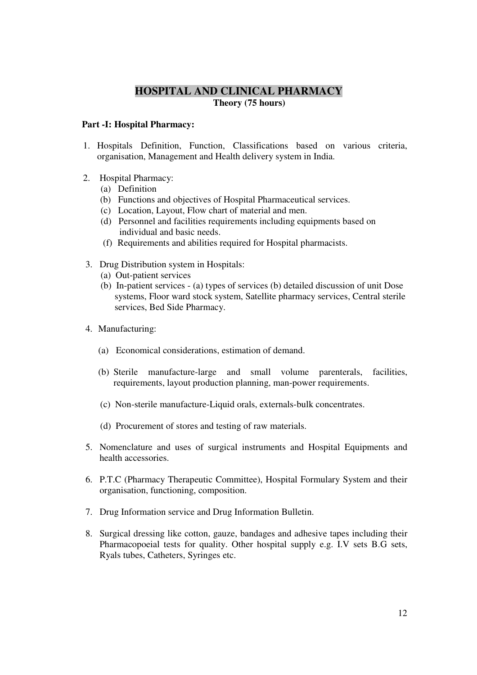## **HOSPITAL AND CLINICAL PHARMACY Theory (75 hours)**

### **Part -I: Hospital Pharmacy:**

- 1. Hospitals Definition, Function, Classifications based on various criteria, organisation, Management and Health delivery system in India.
- 2. Hospital Pharmacy:
	- (a) Definition
	- (b) Functions and objectives of Hospital Pharmaceutical services.
	- (c) Location, Layout, Flow chart of material and men.
	- (d) Personnel and facilities requirements including equipments based on individual and basic needs.
	- (f) Requirements and abilities required for Hospital pharmacists.
- 3. Drug Distribution system in Hospitals:
	- (a) Out-patient services
	- (b) In-patient services (a) types of services (b) detailed discussion of unit Dose systems, Floor ward stock system, Satellite pharmacy services, Central sterile services, Bed Side Pharmacy.
- 4. Manufacturing:
	- (a) Economical considerations, estimation of demand.
	- (b) Sterile manufacture-large and small volume parenterals, facilities, requirements, layout production planning, man-power requirements.
	- (c) Non-sterile manufacture-Liquid orals, externals-bulk concentrates.
	- (d) Procurement of stores and testing of raw materials.
- 5. Nomenclature and uses of surgical instruments and Hospital Equipments and health accessories.
- 6. P.T.C (Pharmacy Therapeutic Committee), Hospital Formulary System and their organisation, functioning, composition.
- 7. Drug Information service and Drug Information Bulletin.
- 8. Surgical dressing like cotton, gauze, bandages and adhesive tapes including their Pharmacopoeial tests for quality. Other hospital supply e.g. I.V sets B.G sets, Ryals tubes, Catheters, Syringes etc.